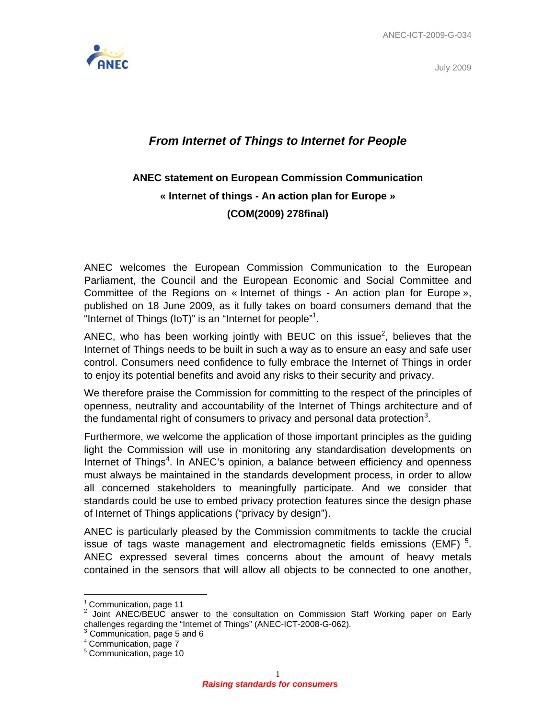



## *From Internet of Things to Internet for People*

## **ANEC statement on European Commission Communication « Internet of things - An action plan for Europe » (COM(2009) 278final)**

ANEC welcomes the European Commission Communication to the European Parliament, the Council and the European Economic and Social Committee and Committee of the Regions on « Internet of things - An action plan for Europe », published on 18 June 2009, as it fully takes on board consumers demand that the "Internet of Things (IoT)" is an "Internet for people"<sup>1</sup>.

ANEC, who has been working jointly with BEUC on this issue<sup>2</sup>, believes that the Internet of Things needs to be built in such a way as to ensure an easy and safe user control. Consumers need confidence to fully embrace the Internet of Things in order to enjoy its potential benefits and avoid any risks to their security and privacy.

We therefore praise the Commission for committing to the respect of the principles of openness, neutrality and accountability of the Internet of Things architecture and of the fundamental right of consumers to privacy and personal data protection<sup>3</sup>.

Furthermore, we welcome the application of those important principles as the guiding light the Commission will use in monitoring any standardisation developments on Internet of Things<sup>4</sup>. In ANEC's opinion, a balance between efficiency and openness must always be maintained in the standards development process, in order to allow all concerned stakeholders to meaningfully participate. And we consider that standards could be use to embed privacy protection features since the design phase of Internet of Things applications ("privacy by design").

ANEC is particularly pleased by the Commission commitments to tackle the crucial issue of tags waste management and electromagnetic fields emissions (EMF)<sup>5</sup>. ANEC expressed several times concerns about the amount of heavy metals contained in the sensors that will allow all objects to be connected to one another,

 $\overline{a}$ 

 $1$  Communication, page 11

<sup>2</sup> Joint ANEC/BEUC answer to the consultation on Commission Staff Working paper on Early challenges regarding the "Internet of Things" (ANEC-ICT-2008-G-062).<br><sup>3</sup> Communication, noge 5 and 6.

Communication, page 5 and 6

<sup>4</sup> Communication, page 7

 $5$  Communication, page 10